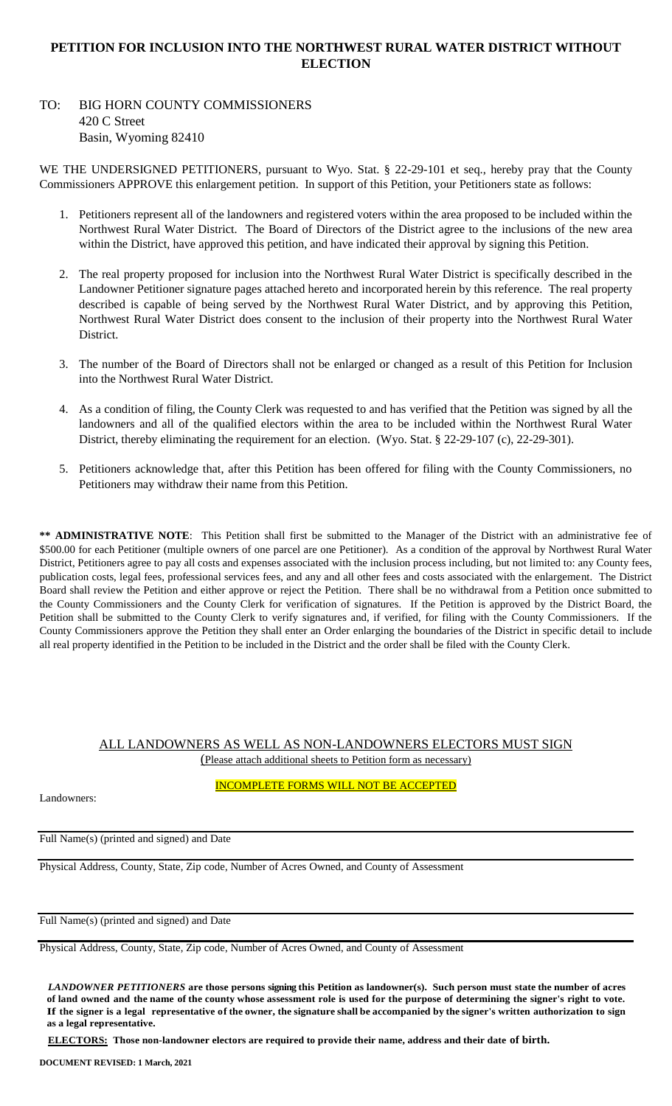## **PETITION FOR INCLUSION INTO THE NORTHWEST RURAL WATER DISTRICT WITHOUT ELECTION**

# TO: BIG HORN COUNTY COMMISSIONERS 420 C Street Basin, Wyoming 82410

WE THE UNDERSIGNED PETITIONERS, pursuant to Wyo. Stat. § 22-29-101 et seq., hereby pray that the County Commissioners APPROVE this enlargement petition. In support of this Petition, your Petitioners state as follows:

- 1. Petitioners represent all of the landowners and registered voters within the area proposed to be included within the Northwest Rural Water District. The Board of Directors of the District agree to the inclusions of the new area within the District, have approved this petition, and have indicated their approval by signing this Petition.
- 2. The real property proposed for inclusion into the Northwest Rural Water District is specifically described in the Landowner Petitioner signature pages attached hereto and incorporated herein by this reference. The real property described is capable of being served by the Northwest Rural Water District, and by approving this Petition, Northwest Rural Water District does consent to the inclusion of their property into the Northwest Rural Water District.
- 3. The number of the Board of Directors shall not be enlarged or changed as a result of this Petition for Inclusion into the Northwest Rural Water District.
- 4. As a condition of filing, the County Clerk was requested to and has verified that the Petition was signed by all the landowners and all of the qualified electors within the area to be included within the Northwest Rural Water District, thereby eliminating the requirement for an election. (Wyo. Stat. § 22-29-107 (c), 22-29-301).
- 5. Petitioners acknowledge that, after this Petition has been offered for filing with the County Commissioners, no Petitioners may withdraw their name from this Petition.

**\*\* ADMINISTRATIVE NOTE**: This Petition shall first be submitted to the Manager of the District with an administrative fee of \$500.00 for each Petitioner (multiple owners of one parcel are one Petitioner). As a condition of the approval by Northwest Rural Water District, Petitioners agree to pay all costs and expenses associated with the inclusion process including, but not limited to: any County fees, publication costs, legal fees, professional services fees, and any and all other fees and costs associated with the enlargement. The District Board shall review the Petition and either approve or reject the Petition. There shall be no withdrawal from a Petition once submitted to the County Commissioners and the County Clerk for verification of signatures. If the Petition is approved by the District Board, the Petition shall be submitted to the County Clerk to verify signatures and, if verified, for filing with the County Commissioners. If the County Commissioners approve the Petition they shall enter an Order enlarging the boundaries of the District in specific detail to include all real property identified in the Petition to be included in the District and the order shall be filed with the County Clerk.

#### ALL LANDOWNERS AS WELL AS NON-LANDOWNERS ELECTORS MUST SIGN (Please attach additional sheets to Petition form as necessary)

Landowners:

INCOMPLETE FORMS WILL NOT BE ACCEPTED

Full Name(s) (printed and signed) and Date

Physical Address, County, State, Zip code, Number of Acres Owned, and County of Assessment

Full Name(s) (printed and signed) and Date

Physical Address, County, State, Zip code, Number of Acres Owned, and County of Assessment

*LANDOWNER PETITIONERS* **are those persons signing this Petition as landowner(s). Such person must state the number of acres of land owned and the name of the county whose assessment role is used for the purpose of determining the signer's right to vote.**  If the signer is a legal representative of the owner, the signature shall be accompanied by the signer's written authorization to sign **as a legal representative.**

**ELECTORS: Those non-landowner electors are required to provide their name, address and their date of birth.**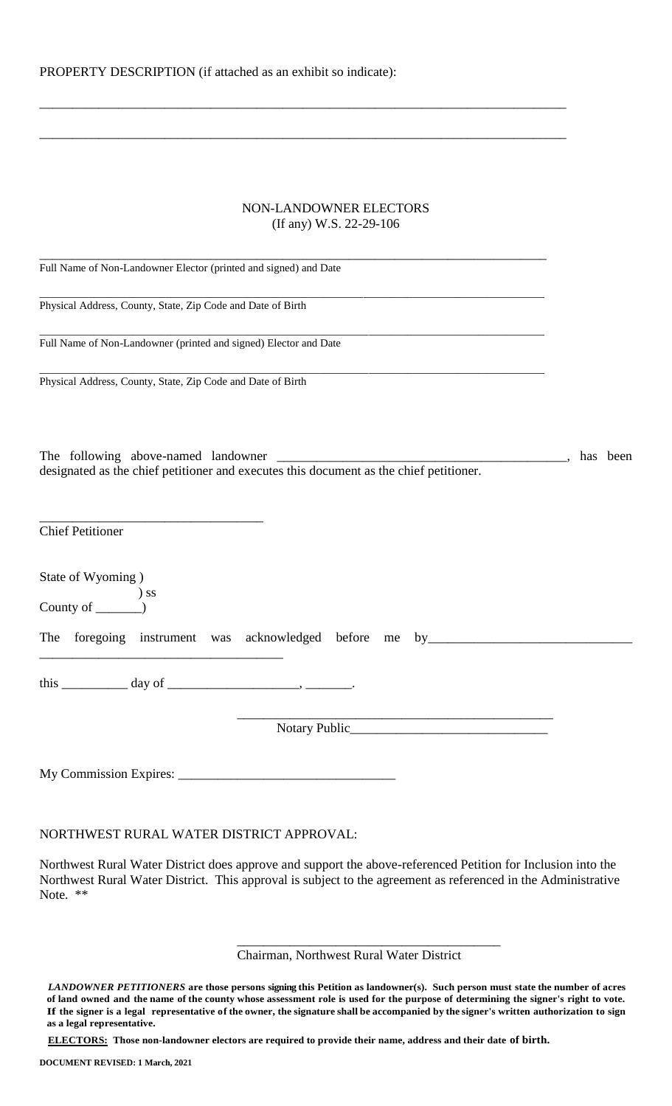| PROPERTY DESCRIPTION (if attached as an exhibit so indicate): |  |  |  |
|---------------------------------------------------------------|--|--|--|
|---------------------------------------------------------------|--|--|--|

#### NON-LANDOWNER ELECTORS (If any) W.S. 22-29-106

\_\_\_\_\_\_\_\_\_\_\_\_\_\_\_\_\_\_\_\_\_\_\_\_\_\_\_\_\_\_\_\_\_\_\_\_\_\_\_\_\_\_\_\_\_\_\_\_\_\_\_\_\_\_\_\_\_\_\_\_\_\_\_\_\_\_\_\_\_\_\_\_\_\_\_\_\_\_\_\_

\_\_\_\_\_\_\_\_\_\_\_\_\_\_\_\_\_\_\_\_\_\_\_\_\_\_\_\_\_\_\_\_\_\_\_\_\_\_\_\_\_\_\_\_\_\_\_\_\_\_\_\_\_\_\_\_\_\_\_\_\_\_\_\_\_\_\_\_\_\_\_\_\_\_\_\_\_\_\_\_

| Full Name of Non-Landowner Elector (printed and signed) and Date                       |          |
|----------------------------------------------------------------------------------------|----------|
| Physical Address, County, State, Zip Code and Date of Birth                            |          |
|                                                                                        |          |
| Full Name of Non-Landowner (printed and signed) Elector and Date                       |          |
| Physical Address, County, State, Zip Code and Date of Birth                            |          |
|                                                                                        |          |
| designated as the chief petitioner and executes this document as the chief petitioner. | has been |
|                                                                                        |          |
| <b>Chief Petitioner</b>                                                                |          |
| State of Wyoming)                                                                      |          |
| $\begin{array}{c}\n\text{County of} \quad\text{S}}\n\end{array}$                       |          |
| The foregoing instrument was acknowledged before me by___________________________      |          |
|                                                                                        |          |
|                                                                                        |          |
|                                                                                        |          |
|                                                                                        |          |
|                                                                                        |          |

### NORTHWEST RURAL WATER DISTRICT APPROVAL:

Northwest Rural Water District does approve and support the above-referenced Petition for Inclusion into the Northwest Rural Water District. This approval is subject to the agreement as referenced in the Administrative Note. \*\*

Chairman, Northwest Rural Water District

\_\_\_\_\_\_\_\_\_\_\_\_\_\_\_\_\_\_\_\_\_\_\_\_\_\_\_\_\_\_\_\_\_\_\_\_\_\_\_\_

*LANDOWNER PETITIONERS* **are those persons signing this Petition as landowner(s). Such person must state the number of acres of land owned and the name of the county whose assessment role is used for the purpose of determining the signer's right to vote.**  If the signer is a legal representative of the owner, the signature shall be accompanied by the signer's written authorization to sign **as a legal representative.**

**ELECTORS: Those non-landowner electors are required to provide their name, address and their date of birth.**